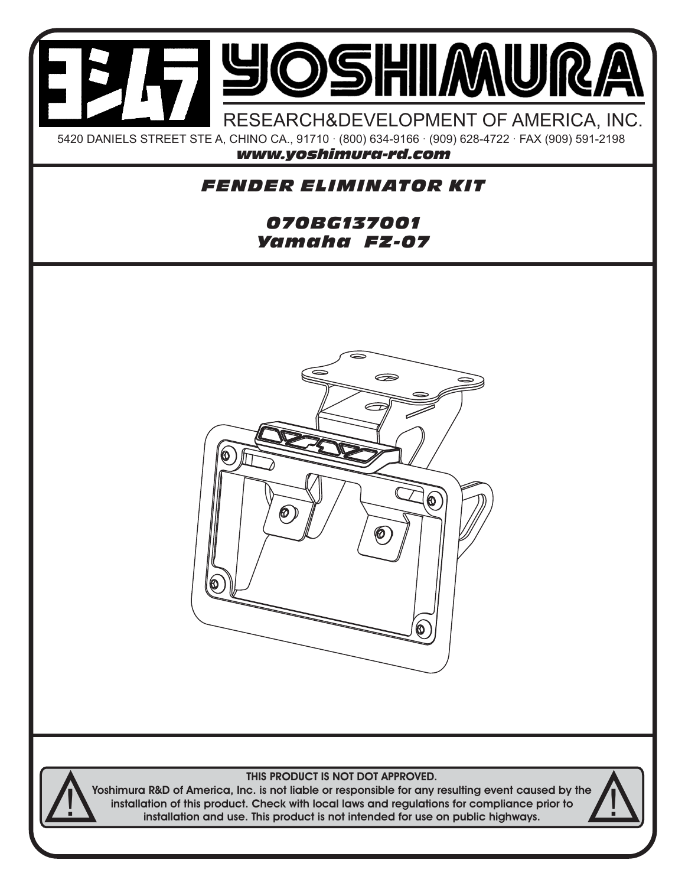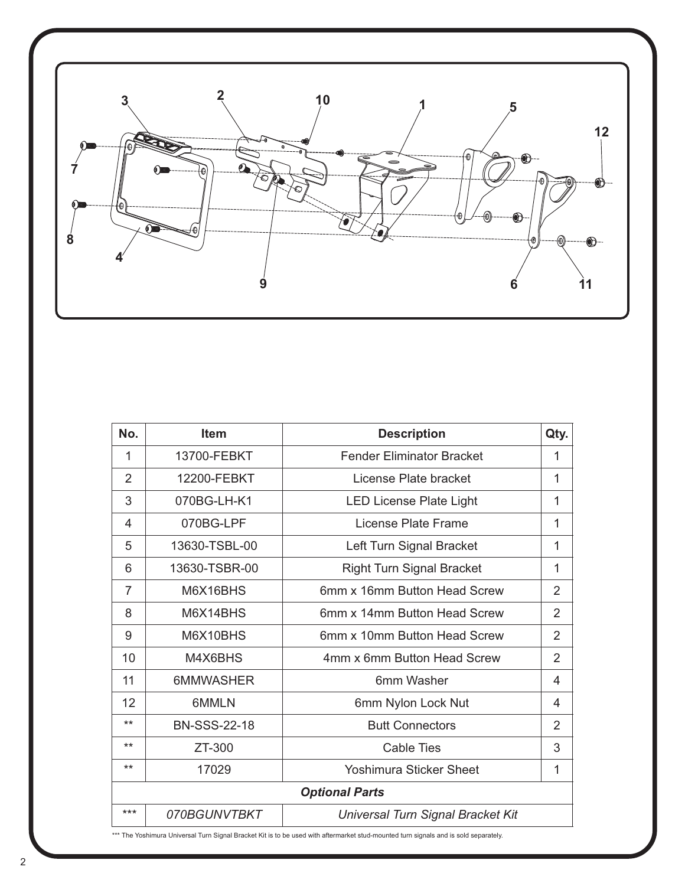

| No.                   | <b>Item</b>         | <b>Description</b>                | Qty.           |
|-----------------------|---------------------|-----------------------------------|----------------|
| 1                     | 13700-FEBKT         | <b>Fender Eliminator Bracket</b>  | 1              |
| $\overline{2}$        | 12200-FEBKT         | License Plate bracket             | 1              |
| 3                     | 070BG-LH-K1         | <b>LED License Plate Light</b>    | 1              |
| 4                     | 070BG-LPF           | License Plate Frame               | 1              |
| 5                     | 13630-TSBL-00       | Left Turn Signal Bracket          | 1              |
| 6                     | 13630-TSBR-00       | <b>Right Turn Signal Bracket</b>  | 1              |
| $\overline{7}$        | M6X16BHS            | 6mm x 16mm Button Head Screw      | $\overline{2}$ |
| 8                     | M6X14BHS            | 6mm x 14mm Button Head Screw      | $\overline{2}$ |
| 9                     | M6X10BHS            | 6mm x 10mm Button Head Screw      | 2              |
| 10                    | M4X6BHS             | 4mm x 6mm Button Head Screw       | $\overline{2}$ |
| 11                    | 6MMWASHER           | 6mm Washer                        | 4              |
| 12                    | 6MMLN               | 6mm Nylon Lock Nut                | 4              |
| $***$                 | <b>BN-SSS-22-18</b> | <b>Butt Connectors</b>            | $\overline{2}$ |
| $***$                 | ZT-300              | Cable Ties                        | 3              |
| $***$                 | 17029               | <b>Yoshimura Sticker Sheet</b>    | 1              |
| <b>Optional Parts</b> |                     |                                   |                |
| $***$                 | 070BGUNVTBKT        | Universal Turn Signal Bracket Kit |                |

\*\*\* The Yoshimura Universal Turn Signal Bracket Kit is to be used with aftermarket stud-mounted turn signals and is sold separately.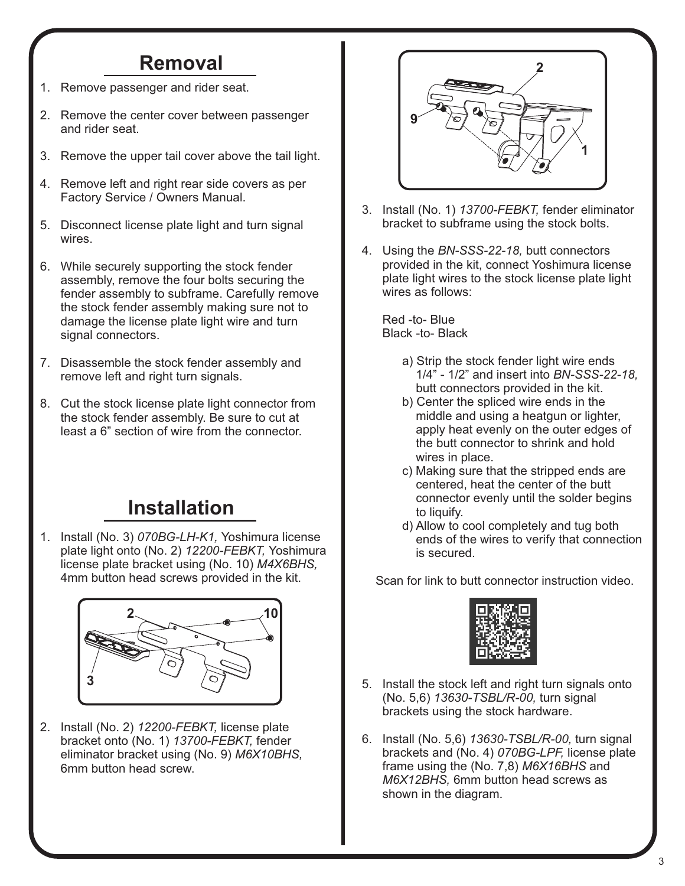## **Removal**

- 1. Remove passenger and rider seat.
- 2. Remove the center cover between passenger and rider seat.
- 3. Remove the upper tail cover above the tail light.
- 4. Remove left and right rear side covers as per Factory Service / Owners Manual.
- 5. Disconnect license plate light and turn signal wires.
- 6. While securely supporting the stock fender assembly, remove the four bolts securing the fender assembly to subframe. Carefully remove the stock fender assembly making sure not to damage the license plate light wire and turn signal connectors.
- 7. Disassemble the stock fender assembly and remove left and right turn signals.
- 8. Cut the stock license plate light connector from the stock fender assembly. Be sure to cut at least a 6" section of wire from the connector.

## **Installation**

1. Install (No. 3) *070BG-LH-K1,* Yoshimura license plate light onto (No. 2) *12200-FEBKT,* Yoshimura license plate bracket using (No. 10) *M4X6BHS,*  4mm button head screws provided in the kit.



2. Install (No. 2) *12200-FEBKT,* license plate bracket onto (No. 1) *13700-FEBKT,* fender eliminator bracket using (No. 9) *M6X10BHS,* 6mm button head screw.



- 3. Install (No. 1) *13700-FEBKT,* fender eliminator bracket to subframe using the stock bolts.
- 4. Using the *BN-SSS-22-18,* butt connectors provided in the kit, connect Yoshimura license plate light wires to the stock license plate light wires as follows:

 Red -to- Blue Black -to- Black

- a) Strip the stock fender light wire ends 1/4" - 1/2" and insert into *BN-SSS-22-18,* butt connectors provided in the kit.
- b) Center the spliced wire ends in the middle and using a heatgun or lighter, apply heat evenly on the outer edges of the butt connector to shrink and hold wires in place.
- c) Making sure that the stripped ends are centered, heat the center of the butt connector evenly until the solder begins to liquify.
- d) Allow to cool completely and tug both ends of the wires to verify that connection is secured.

Scan for link to butt connector instruction video.



- 5. Install the stock left and right turn signals onto (No. 5,6) *13630-TSBL/R-00,* turn signal brackets using the stock hardware.
- 6. Install (No. 5,6) *13630-TSBL/R-00,* turn signal brackets and (No. 4) *070BG-LPF,* license plate frame using the (No. 7,8) *M6X16BHS* and *M6X12BHS,* 6mm button head screws as shown in the diagram.